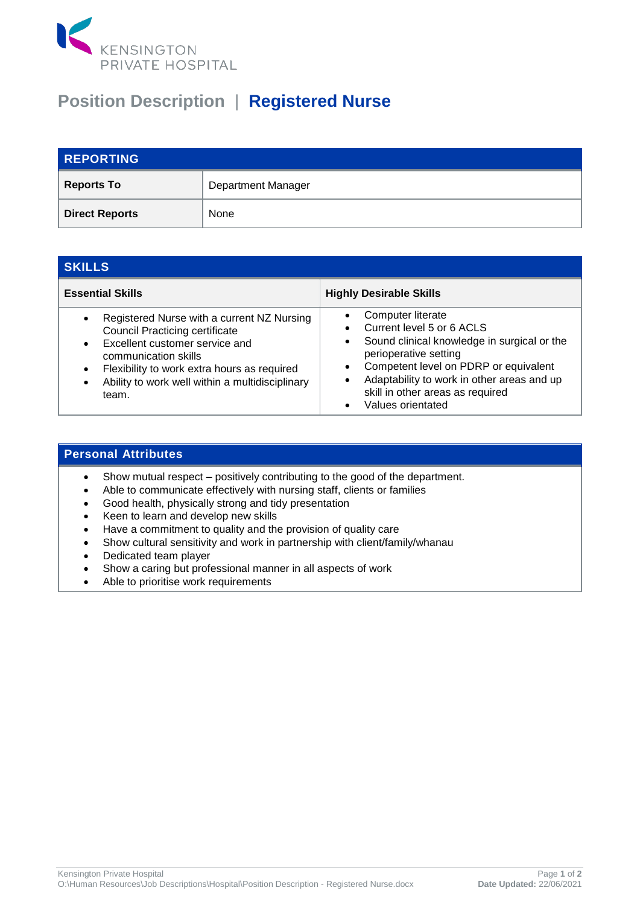

## **Position Description** | **Registered Nurse**

| <b>REPORTING</b>      |                           |
|-----------------------|---------------------------|
| <b>Reports To</b>     | <b>Department Manager</b> |
| <b>Direct Reports</b> | None                      |

| <b>SKILLS</b>                                                                                                                                                                                                                                                                                   |                                                                                                                                                                                                                                                                        |  |
|-------------------------------------------------------------------------------------------------------------------------------------------------------------------------------------------------------------------------------------------------------------------------------------------------|------------------------------------------------------------------------------------------------------------------------------------------------------------------------------------------------------------------------------------------------------------------------|--|
| <b>Essential Skills</b>                                                                                                                                                                                                                                                                         | <b>Highly Desirable Skills</b>                                                                                                                                                                                                                                         |  |
| Registered Nurse with a current NZ Nursing<br>$\bullet$<br><b>Council Practicing certificate</b><br>Excellent customer service and<br>$\bullet$<br>communication skills<br>Flexibility to work extra hours as required<br>$\bullet$<br>Ability to work well within a multidisciplinary<br>team. | Computer literate<br>Current level 5 or 6 ACLS<br>Sound clinical knowledge in surgical or the<br>perioperative setting<br>Competent level on PDRP or equivalent<br>Adaptability to work in other areas and up<br>skill in other areas as required<br>Values orientated |  |

## **Personal Attributes**

- Show mutual respect positively contributing to the good of the department.
- Able to communicate effectively with nursing staff, clients or families
- Good health, physically strong and tidy presentation
- Keen to learn and develop new skills
- Have a commitment to quality and the provision of quality care
- Show cultural sensitivity and work in partnership with client/family/whanau
- Dedicated team player
- Show a caring but professional manner in all aspects of work
- Able to prioritise work requirements